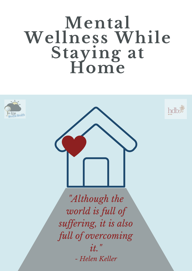# **Mental Wellness While Staying at Home**





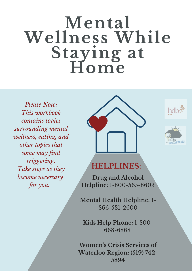# **Mental Wellness While Staying at Home**

*Please Note: This workbook contains topics surrounding mental wellness, eating, and other topics that some may find triggering. Take steps as they become necessary for you.*







#### **HELPLINES:**

**Drug and Alcohol Helpline:** 1-800-565-8603

**Mental Health Helpline:** 1- 866-531-2600

**Kids Help Phone:** 1-800- 668-6868

**Women 's Crisis Services of Waterloo Region: (519) 742- 5894**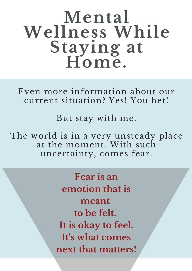# **Mental Wellness While Staying at Home.**

Even more information about our current situation? Yes! You bet!

But stay with me.

The world is in a very unsteady place at the moment. With such uncertainty, comes fear.

> **Fear is an emotion that is meant to be felt. It is okay to feel. It' s what comes next that matters!**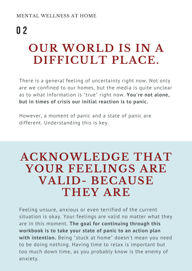# **OUR WORLD IS IN A DIFFICULT PLACE.** 0 2

There is a general feeling of uncertainty right now. Not only are we confined to our homes, but the media is quite unclear as to what information is "true" right now. **You're not alone, but in times of crisis our initial reaction is to panic.**

However, a moment of panic and a state of panic are different. Understanding this is key.

### **ACKNOWLEDGE THAT YOUR FEELINGS ARE VALID- BECAUSE THEY ARE**

Feeling unsure, anxious or even terrified of the current situation is okay. Your feelings are valid no matter what they are in this moment. **The goal for continuing through this workbook is to take your state of panic to an action plan with intention.** Being "stuck at home" doesn't mean you need to be doing nothing. Having time to relax is important but too much down time, as you probably know is the enemy of anxiety.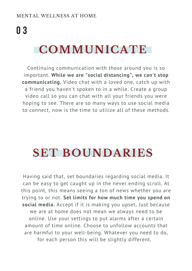## 0 3

### **COMMUNICATE**

Continuing communication with those around you is so important. **While we are "social distancing", we can't stop communicating.** Video chat with a loved one, catch up with a friend you haven't spoken to in a while. Create a group video call so you can chat with all your friends you were hoping to see. There are so many ways to use social media to connect, now is the time to utilize all of these methods.

## **SET BOUNDARIES**

Having said that, set boundaries regarding social media. It can be easy to get caught up in the never ending scroll. At this point, this means seeing a ton of news whether you are trying to or not. **Set limits for how much time you spend on social media.** Accept if it is making you upset**.** Just because we are at home does not mean we always need to be online. Use your settings to put alarms after a certain amount of time online. Choose to unfollow accounts that are harmful to your well-being. Whatever you need to do, for each person this will be slightly different.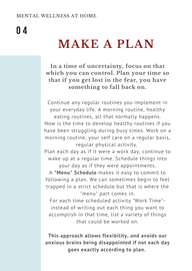## 0 4

## **MAKE A PLAN**

**In a time of uncertainty, focus on that which you can control. Plan your time so that if you get lost in the fear, you have something to fall back on.**

Continue any regular routines you implement in your everyday life. A morning routine, healthy eating routines, all that normally happens. Now is the time to develop healthy routines if you have been struggling during busy times. Work on a morning routine, your self care on a regular basis, regular physical activity.

Plan each day as if it were a work day, continue to wake up at a regular time. Schedule things into your day as if they were appointments.

A **"Menu" Schedule** makes it easy to commit to following a plan. We can sometimes begin to feel trapped in a strict schedule but that is where the "menu" part comes in.

For each time scheduled activity "Work Time" instead of writing out each thing you want to accomplish in that time, list a variety of things that could be worked on.

**This approach allows flexibility, and avoids our anxious brains being disappointed if not each day goes exactly according to plan.**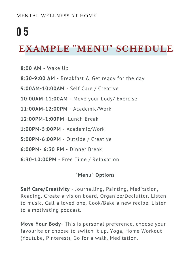### 0 5

### **EXAMPLE "MENU" SCHEDULE**

- **8:00 AM** Wake Up
- **8:30-9:00 AM** Breakfast & Get ready for the day
- **9:00AM-10:00AM** Self Care / Creative
- **10:00AM-11:00AM** Move your body/ Exercise
- **11:00AM-12:00PM** Academic/Work
- **12:00PM-1:00PM** -Lunch Break
- **1:00PM-5:00PM** Academic/Work
- **5:00PM-6:00PM** Outside / Creative
- **6:00PM- 6:30 PM** Dinner Break
- **6:30-10:00PM** Free Time / Relaxation

#### **"Menu" Options**

**Self Care/Creativity** - Journalling, Painting, Meditation, Reading, Create a vision board, Organize/Declutter, Listen to music, Call a loved one, Cook/Bake a new recipe, Listen to a motivating podcast.

**Move Your Body**- This is personal preference, choose your favourite or choose to switch it up. Yoga, Home Workout (Youtube, Pinterest), Go for a walk, Meditation.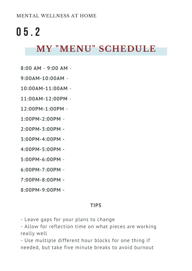### 0 5 . 2

### **MY "MENU" SCHEDULE**

- **8:00 AM 9:00 AM** -
- **9:00AM-10:00AM** -
- **10:00AM-11:00AM** -
- **11:00AM-12:00PM** -
- **12:00PM-1:00PM** -
- **1:00PM-2:00PM** -
- **2:00PM-3:00PM -**
- **3:00PM-4:00PM -**
- **4:00PM-5:00PM -**
- **5:00PM-6:00PM** -
- **6:00PM-7:00PM** -
- **7:00PM-8:00PM -**
- **8:00PM-9:00PM -**

#### **TIPS**

- Leave gaps for your plans to change

- Allow for reflection time on what pieces are working really well

- Use multiple different hour blocks for one thing if needed, but take five minute breaks to avoid burnout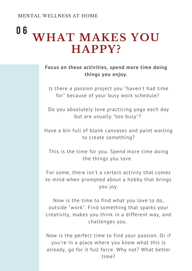### **WHAT MAKES YOU HAPPY?** 0 6

**Focus on these activities, spend more time doing things you enjoy.**

Is there a passion project you "haven't had time for" because of your busy work schedule?

Do you absolutely love practicing yoga each day but are usually "too busy"?

Have a bin full of blank canvases and paint waiting to create something?

This is the time for you. Spend more time doing the things you love.

For some, there isn't a certain activity that comes to mind when prompted about a hobby that brings you joy.

Now is the time to find what you love to do, outside "work". Find something that sparks your creativity, makes you think in a different way, and challenges you.

Now is the perfect time to find your passion. Or if you're in a place where you know what this is already, go for it full force. Why not? What better time?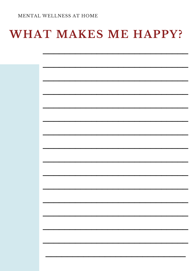## WHAT MAKES ME HAPPY?

| п<br>п<br>п |
|-------------|
| ÷,          |
|             |
|             |
| ÷,          |
| ÷,<br>÷,    |
|             |
|             |
|             |
|             |
|             |
|             |
|             |
|             |
|             |
|             |
|             |
| п           |
|             |
|             |
|             |
|             |
|             |
|             |
|             |
|             |
|             |
|             |
|             |
|             |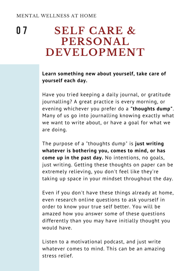#### **SELF CARE & PERSONAL DEVELOPMENT** 0 7

#### **Learn something new about yourself, take care of yourself each day.**

Have you tried keeping a daily journal, or gratitude journalling? A great practice is every morning, or evening whichever you prefer do a **"thoughts dump"**. Many of us go into journalling knowing exactly what we want to write about, or have a goal for what we are doing.

The purpose of a "thoughts dump" is **just writing whatever is bothering you, comes to mind, or has come up in the past day.** No intentions, no goals, just writing. Getting these thoughts on paper can be extremely relieving, you don't feel like they're taking up space in your mindset throughout the day.

Even if you don't have these things already at home, even research online questions to ask yourself in order to know your true self better. You will be amazed how you answer some of these questions differently than you may have initially thought you would have.

Listen to a motivational podcast, and just write whatever comes to mind. This can be an amazing stress relief.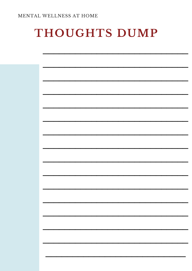### THOUGHTS DUMP

| <b>Contract Contract</b>                                                                                                                                                                                                                                                                                                                                                                                                           |
|------------------------------------------------------------------------------------------------------------------------------------------------------------------------------------------------------------------------------------------------------------------------------------------------------------------------------------------------------------------------------------------------------------------------------------|
|                                                                                                                                                                                                                                                                                                                                                                                                                                    |
|                                                                                                                                                                                                                                                                                                                                                                                                                                    |
| $\begin{array}{ccc} \textbf{1} & \textbf{1} & \textbf{1} & \textbf{1} & \textbf{1} & \textbf{1} & \textbf{1} & \textbf{1} & \textbf{1} & \textbf{1} & \textbf{1} & \textbf{1} & \textbf{1} & \textbf{1} & \textbf{1} & \textbf{1} & \textbf{1} & \textbf{1} & \textbf{1} & \textbf{1} & \textbf{1} & \textbf{1} & \textbf{1} & \textbf{1} & \textbf{1} & \textbf{1} & \textbf{1} & \textbf{1} & \textbf{1} & \textbf{1} & \textbf$ |
|                                                                                                                                                                                                                                                                                                                                                                                                                                    |
| <b>Contract Contract Contract</b>                                                                                                                                                                                                                                                                                                                                                                                                  |
|                                                                                                                                                                                                                                                                                                                                                                                                                                    |
| $\sim$ $\sim$                                                                                                                                                                                                                                                                                                                                                                                                                      |
|                                                                                                                                                                                                                                                                                                                                                                                                                                    |
| <b>Contract Contract</b>                                                                                                                                                                                                                                                                                                                                                                                                           |
|                                                                                                                                                                                                                                                                                                                                                                                                                                    |
| ь                                                                                                                                                                                                                                                                                                                                                                                                                                  |
|                                                                                                                                                                                                                                                                                                                                                                                                                                    |
| <b>Contract Contract</b>                                                                                                                                                                                                                                                                                                                                                                                                           |
|                                                                                                                                                                                                                                                                                                                                                                                                                                    |
|                                                                                                                                                                                                                                                                                                                                                                                                                                    |
|                                                                                                                                                                                                                                                                                                                                                                                                                                    |
|                                                                                                                                                                                                                                                                                                                                                                                                                                    |
| $\sim$                                                                                                                                                                                                                                                                                                                                                                                                                             |
|                                                                                                                                                                                                                                                                                                                                                                                                                                    |
|                                                                                                                                                                                                                                                                                                                                                                                                                                    |
|                                                                                                                                                                                                                                                                                                                                                                                                                                    |
|                                                                                                                                                                                                                                                                                                                                                                                                                                    |
|                                                                                                                                                                                                                                                                                                                                                                                                                                    |
|                                                                                                                                                                                                                                                                                                                                                                                                                                    |
|                                                                                                                                                                                                                                                                                                                                                                                                                                    |
|                                                                                                                                                                                                                                                                                                                                                                                                                                    |
|                                                                                                                                                                                                                                                                                                                                                                                                                                    |
|                                                                                                                                                                                                                                                                                                                                                                                                                                    |
|                                                                                                                                                                                                                                                                                                                                                                                                                                    |
|                                                                                                                                                                                                                                                                                                                                                                                                                                    |
|                                                                                                                                                                                                                                                                                                                                                                                                                                    |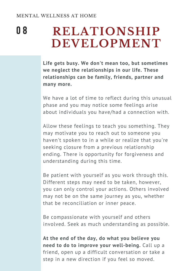**RELATIONSHIP DEVELOPMENT** 0 8

> **Life gets busy. We don't mean too, but sometimes we neglect the relationships in our life. These relationships can be family, friends, partner and many more.**

We have a lot of time to reflect during this unusual phase and you may notice some feelings arise about individuals you have/had a connection with.

Allow these feelings to teach you something. They may motivate you to reach out to someone you haven't spoken to in a while or realize that you're seeking closure from a previous relationship ending. There is opportunity for forgiveness and understanding during this time.

Be patient with yourself as you work through this. Different steps may need to be taken, however, you can only control your actions. Others involved may not be on the same journey as you, whether that be reconciliation or inner peace.

Be compassionate with yourself and others involved. Seek as much understanding as possible.

**At the end of the day, do what you believe you need to do to improve your well-being.** Call up a friend, open up a difficult conversation or take a step in a new direction if you feel so moved.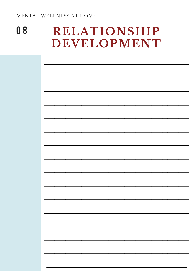#### 08 **RELATIONSHIP** DEVELOPMENT

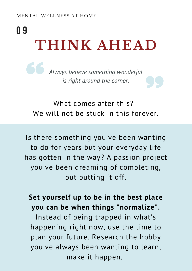# **THINK AHEAD** 0 9

*Always believe something wonderful is right around the corner.*

What comes after this? We will not be stuck in this forever.

Is there something you ' ve been wanting to do for years but your everyday life has gotten in the way? A passion project you ' ve been dreaming of completing, but putting it off.

#### **Set yourself up to be in the best place you can be when things "normalize".**

Instead of being trapped in what's happening right now, use the time to plan your future. Research the hobby you ' ve always been wanting to learn, make it happen.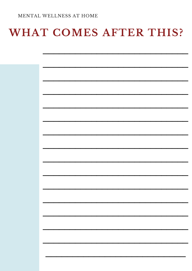### WHAT COMES AFTER THIS?

| <b>First</b> |
|--------------|
| п            |
| ÷            |
|              |
|              |
|              |
|              |
|              |
|              |
|              |
|              |
|              |
|              |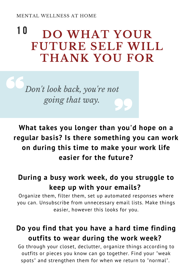### **DO WHAT YOUR FUTURE SELF WILL THANK YOU FOR** 1 0

*Don 't look back, you ' re not going that way.*

**What takes you longer than you'd hope on a regular basis? Is there something you can work on during this time to make your work life easier for the future?**

### **During a busy work week, do you struggle to keep up with your emails?**

Organize them, filter them, set up automated responses where you can. Unsubscribe from unnecessary email lists. Make things easier, however this looks for you.

### **Do you find that you have a hard time finding outfits to wear during the work week?**

Go through your closet, declutter, organize things according to outfits or pieces you know can go together. Find your "weak spots" and strengthen them for when we return to "normal".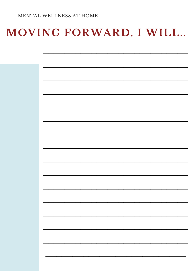### MOVING FORWARD, I WILL..

| ь |
|---|
| г |
|   |
| Н |
|   |
|   |
|   |
|   |
|   |
|   |
|   |
|   |
|   |
|   |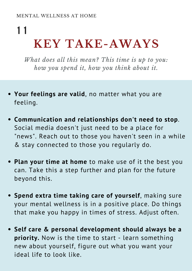### **KEY TAKE-AWAYS** 1 1

*What does all this mean? This time is up to you: how you spend it, how you think about it.*

- **Your feelings are valid**, no matter what you are feeling.
- **Communication and relationships don't need to stop**. Social media doesn't just need to be a place for "news". Reach out to those you haven't seen in a while & stay connected to those you regularly do.
- **Plan your time at home** to make use of it the best you can. Take this a step further and plan for the future beyond this.
- **Spend extra time taking care of yourself**, making sure your mental wellness is in a positive place. Do things that make you happy in times of stress. Adjust often.
- **Self care & personal development should always be a priority.** Now is the time to start - learn something new about yourself, figure out what you want your ideal life to look like.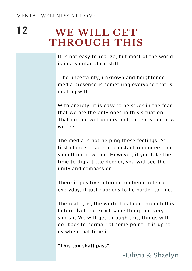#### **WE WILL GET THROUGH THIS** 1 2

It is not easy to realize, but most of the world is in a similar place still.

The uncertainty, unknown and heightened media presence is something everyone that is dealing with.

With anxiety, it is easy to be stuck in the fear that we are the only ones in this situation. That no one will understand, or really see how we feel.

The media is not helping these feelings. At first glance, it acts as constant reminders that something is wrong. However, if you take the time to dig a little deeper, you will see the unity and compassion.

There is positive information being released everyday, it just happens to be harder to find.

The reality is, the world has been through this before. Not the exact same thing, but very similar. We will get through this, things will go "back to normal" at some point. It is up to us when that time is.

**"This too shall pass"**

-Olivia & Shaelyn